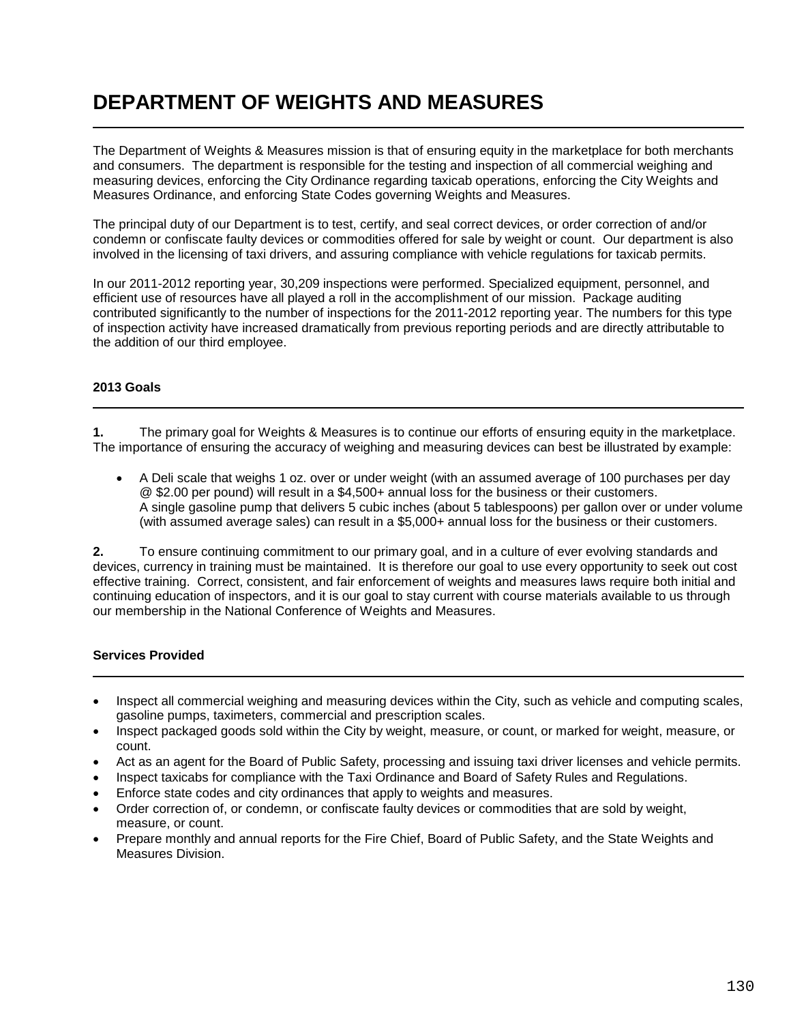## **DEPARTMENT OF WEIGHTS AND MEASURES**

The Department of Weights & Measures mission is that of ensuring equity in the marketplace for both merchants and consumers. The department is responsible for the testing and inspection of all commercial weighing and measuring devices, enforcing the City Ordinance regarding taxicab operations, enforcing the City Weights and Measures Ordinance, and enforcing State Codes governing Weights and Measures.

The principal duty of our Department is to test, certify, and seal correct devices, or order correction of and/or condemn or confiscate faulty devices or commodities offered for sale by weight or count. Our department is also involved in the licensing of taxi drivers, and assuring compliance with vehicle regulations for taxicab permits.

In our 2011-2012 reporting year, 30,209 inspections were performed. Specialized equipment, personnel, and efficient use of resources have all played a roll in the accomplishment of our mission. Package auditing contributed significantly to the number of inspections for the 2011-2012 reporting year. The numbers for this type of inspection activity have increased dramatically from previous reporting periods and are directly attributable to the addition of our third employee.

## **2013 Goals**

**1.** The primary goal for Weights & Measures is to continue our efforts of ensuring equity in the marketplace. The importance of ensuring the accuracy of weighing and measuring devices can best be illustrated by example:

 A Deli scale that weighs 1 oz. over or under weight (with an assumed average of 100 purchases per day @ \$2.00 per pound) will result in a \$4,500+ annual loss for the business or their customers. A single gasoline pump that delivers 5 cubic inches (about 5 tablespoons) per gallon over or under volume (with assumed average sales) can result in a \$5,000+ annual loss for the business or their customers.

**2.** To ensure continuing commitment to our primary goal, and in a culture of ever evolving standards and devices, currency in training must be maintained. It is therefore our goal to use every opportunity to seek out cost effective training.Correct, consistent, and fair enforcement of weights and measures laws require both initial and continuing education of inspectors, and it is our goal to stay current with course materials available to us through our membership in the National Conference of Weights and Measures.

## **Services Provided**

- Inspect all commercial weighing and measuring devices within the City, such as vehicle and computing scales, gasoline pumps, taximeters, commercial and prescription scales.
- Inspect packaged goods sold within the City by weight, measure, or count, or marked for weight, measure, or count.
- Act as an agent for the Board of Public Safety, processing and issuing taxi driver licenses and vehicle permits.
- Inspect taxicabs for compliance with the Taxi Ordinance and Board of Safety Rules and Regulations.
- Enforce state codes and city ordinances that apply to weights and measures.
- Order correction of, or condemn, or confiscate faulty devices or commodities that are sold by weight, measure, or count.
- Prepare monthly and annual reports for the Fire Chief, Board of Public Safety, and the State Weights and Measures Division.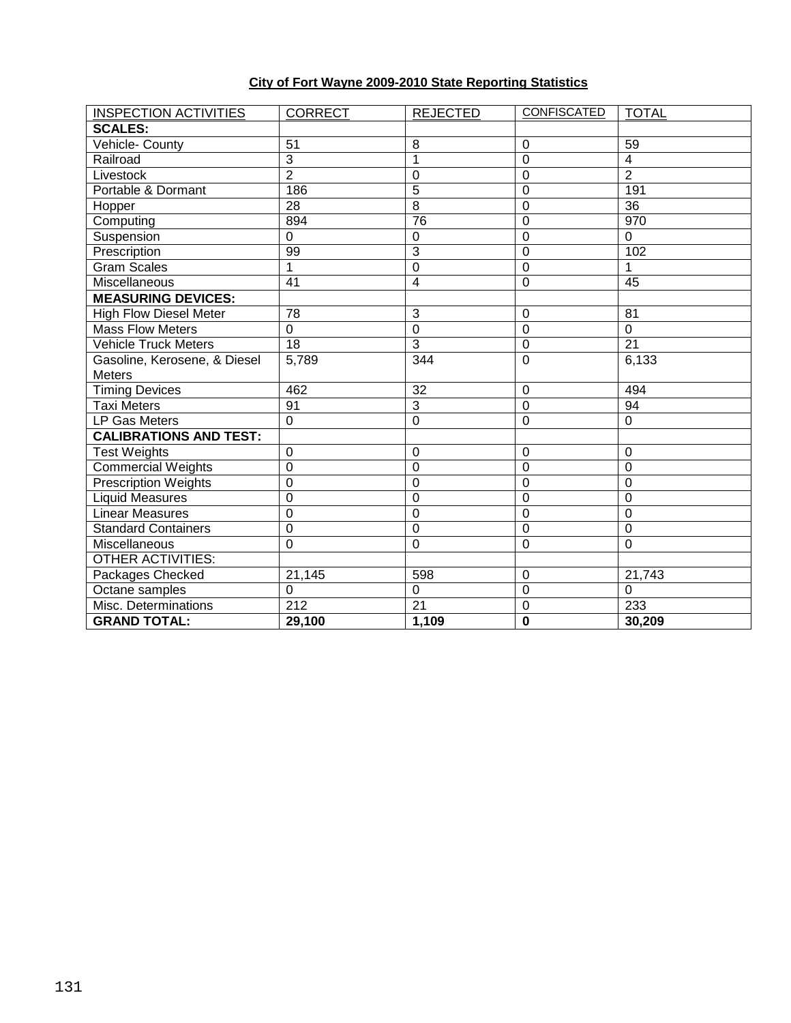## **City of Fort Wayne 2009-2010 State Reporting Statistics**

| <b>INSPECTION ACTIVITIES</b>  | <b>CORRECT</b>   | <b>REJECTED</b> | <b>CONFISCATED</b> | <b>TOTAL</b>    |
|-------------------------------|------------------|-----------------|--------------------|-----------------|
| <b>SCALES:</b>                |                  |                 |                    |                 |
| Vehicle- County               | 51               | 8               | $\mathbf 0$        | 59              |
| Railroad                      | $\overline{3}$   | $\mathbf{1}$    | 0                  | $\overline{4}$  |
| Livestock                     | $\overline{2}$   | 0               | $\Omega$           | $\overline{2}$  |
| Portable & Dormant            | 186              | $\overline{5}$  | $\mathbf 0$        | 191             |
| Hopper                        | $\overline{28}$  | $\overline{8}$  | 0                  | 36              |
| Computing                     | 894              | 76              | $\overline{0}$     | 970             |
| Suspension                    | $\mathbf 0$      | $\mathbf 0$     | 0                  | $\mathbf 0$     |
| Prescription                  | 99               | $\overline{3}$  | 0                  | 102             |
| Gram Scales                   | 1                | $\overline{0}$  | $\mathbf 0$        | 1               |
| Miscellaneous                 | 41               | $\overline{4}$  | $\mathbf 0$        | 45              |
| <b>MEASURING DEVICES:</b>     |                  |                 |                    |                 |
| <b>High Flow Diesel Meter</b> | 78               | 3               | $\mathbf 0$        | 81              |
| <b>Mass Flow Meters</b>       | $\mathbf 0$      | $\mathbf 0$     | $\mathbf 0$        | $\mathbf 0$     |
| <b>Vehicle Truck Meters</b>   | 18               | 3               | 0                  | 21              |
| Gasoline, Kerosene, & Diesel  | 5,789            | 344             | $\mathbf 0$        | 6,133           |
| <b>Meters</b>                 |                  |                 |                    |                 |
| <b>Timing Devices</b>         | 462              | 32              | $\mathbf 0$        | 494             |
| <b>Taxi Meters</b>            | $\overline{91}$  | $\overline{3}$  | $\overline{0}$     | $\overline{94}$ |
| LP Gas Meters                 | $\mathbf 0$      | $\overline{0}$  | 0                  | $\Omega$        |
| <b>CALIBRATIONS AND TEST:</b> |                  |                 |                    |                 |
| <b>Test Weights</b>           | 0                | 0               | 0                  | 0               |
| <b>Commercial Weights</b>     | $\mathbf 0$      | $\overline{0}$  | $\mathbf 0$        | $\overline{0}$  |
| <b>Prescription Weights</b>   | $\mathbf 0$      | $\Omega$        | $\Omega$           | $\mathbf 0$     |
| <b>Liquid Measures</b>        | $\boldsymbol{0}$ | $\mathbf 0$     | $\mathbf 0$        | $\mathbf 0$     |
| <b>Linear Measures</b>        | $\mathbf 0$      | $\mathbf 0$     | $\mathbf 0$        | $\mathbf 0$     |
| <b>Standard Containers</b>    | $\mathbf 0$      | $\mathbf 0$     | $\Omega$           | $\mathbf 0$     |
| Miscellaneous                 | $\mathbf 0$      | 0               | 0                  | $\mathbf 0$     |
| <b>OTHER ACTIVITIES:</b>      |                  |                 |                    |                 |
| Packages Checked              | 21,145           | 598             | 0                  | 21,743          |
| Octane samples                | $\pmb{0}$        | $\mathbf 0$     | $\mathbf 0$        | $\mathbf 0$     |
| Misc. Determinations          | 212              | 21              | $\mathbf 0$        | 233             |
| <b>GRAND TOTAL:</b>           | 29,100           | 1,109           | $\mathbf 0$        | 30,209          |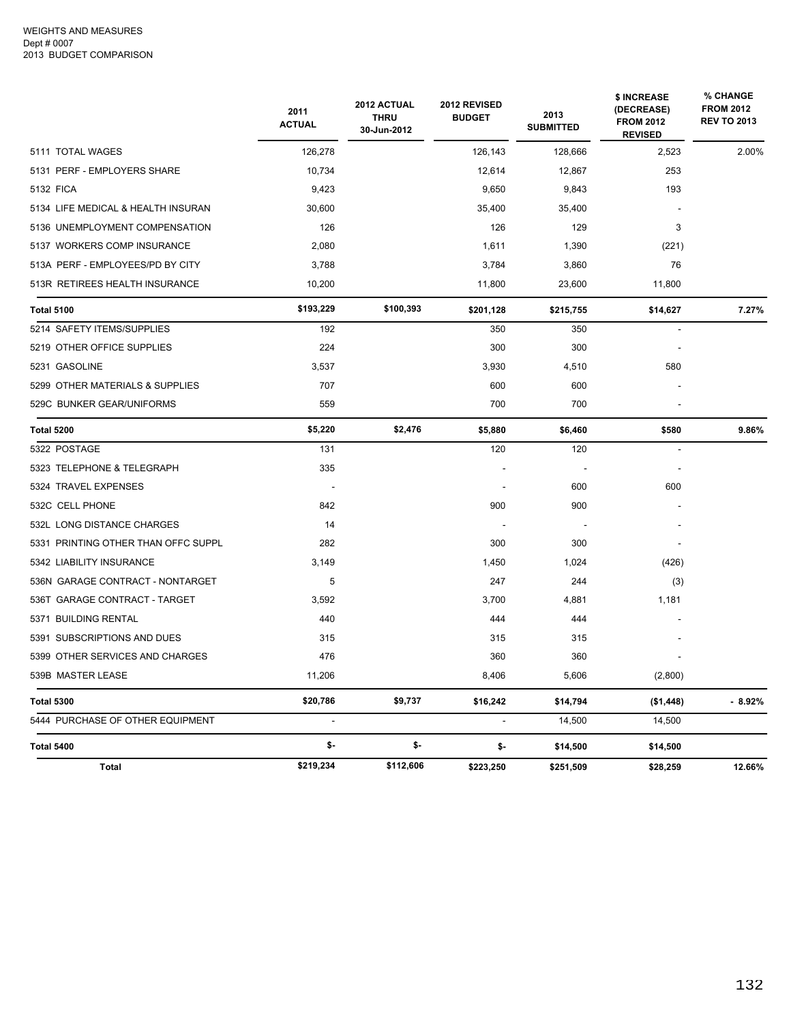|                                     | 2011<br><b>ACTUAL</b> | 2012 ACTUAL<br><b>THRU</b><br>30-Jun-2012 | 2012 REVISED<br><b>BUDGET</b> | 2013<br><b>SUBMITTED</b> | \$ INCREASE<br>(DECREASE)<br><b>FROM 2012</b><br><b>REVISED</b> | % CHANGE<br><b>FROM 2012</b><br><b>REV TO 2013</b> |
|-------------------------------------|-----------------------|-------------------------------------------|-------------------------------|--------------------------|-----------------------------------------------------------------|----------------------------------------------------|
| 5111 TOTAL WAGES                    | 126,278               |                                           | 126,143                       | 128,666                  | 2,523                                                           | 2.00%                                              |
| 5131 PERF - EMPLOYERS SHARE         | 10,734                |                                           | 12,614                        | 12,867                   | 253                                                             |                                                    |
| 5132 FICA                           | 9,423                 |                                           | 9,650                         | 9,843                    | 193                                                             |                                                    |
| 5134 LIFE MEDICAL & HEALTH INSURAN  | 30,600                |                                           | 35,400                        | 35,400                   |                                                                 |                                                    |
| 5136 UNEMPLOYMENT COMPENSATION      | 126                   |                                           | 126                           | 129                      | 3                                                               |                                                    |
| 5137 WORKERS COMP INSURANCE         | 2,080                 |                                           | 1,611                         | 1,390                    | (221)                                                           |                                                    |
| 513A PERF - EMPLOYEES/PD BY CITY    | 3,788                 |                                           | 3,784                         | 3,860                    | 76                                                              |                                                    |
| 513R RETIREES HEALTH INSURANCE      | 10,200                |                                           | 11,800                        | 23,600                   | 11,800                                                          |                                                    |
| <b>Total 5100</b>                   | \$193,229             | \$100,393                                 | \$201,128                     | \$215,755                | \$14,627                                                        | 7.27%                                              |
| 5214 SAFETY ITEMS/SUPPLIES          | 192                   |                                           | 350                           | 350                      | $\sim$                                                          |                                                    |
| 5219 OTHER OFFICE SUPPLIES          | 224                   |                                           | 300                           | 300                      |                                                                 |                                                    |
| 5231 GASOLINE                       | 3,537                 |                                           | 3,930                         | 4,510                    | 580                                                             |                                                    |
| 5299 OTHER MATERIALS & SUPPLIES     | 707                   |                                           | 600                           | 600                      |                                                                 |                                                    |
| 529C BUNKER GEAR/UNIFORMS           | 559                   |                                           | 700                           | 700                      |                                                                 |                                                    |
| <b>Total 5200</b>                   | \$5,220               | \$2,476                                   | \$5,880                       | \$6,460                  | \$580                                                           | 9.86%                                              |
| 5322 POSTAGE                        | 131                   |                                           | 120                           | 120                      | $\overline{\phantom{a}}$                                        |                                                    |
| 5323 TELEPHONE & TELEGRAPH          | 335                   |                                           |                               |                          |                                                                 |                                                    |
| 5324 TRAVEL EXPENSES                |                       |                                           |                               | 600                      | 600                                                             |                                                    |
| 532C CELL PHONE                     | 842                   |                                           | 900                           | 900                      |                                                                 |                                                    |
| 532L LONG DISTANCE CHARGES          | 14                    |                                           |                               | $\overline{\phantom{a}}$ |                                                                 |                                                    |
| 5331 PRINTING OTHER THAN OFFC SUPPL | 282                   |                                           | 300                           | 300                      |                                                                 |                                                    |
| 5342 LIABILITY INSURANCE            | 3,149                 |                                           | 1,450                         | 1,024                    | (426)                                                           |                                                    |
| 536N GARAGE CONTRACT - NONTARGET    | 5                     |                                           | 247                           | 244                      | (3)                                                             |                                                    |
| 536T GARAGE CONTRACT - TARGET       | 3,592                 |                                           | 3,700                         | 4,881                    | 1,181                                                           |                                                    |
| 5371 BUILDING RENTAL                | 440                   |                                           | 444                           | 444                      |                                                                 |                                                    |
| 5391 SUBSCRIPTIONS AND DUES         | 315                   |                                           | 315                           | 315                      |                                                                 |                                                    |
| 5399 OTHER SERVICES AND CHARGES     | 476                   |                                           | 360                           | 360                      |                                                                 |                                                    |
| 539B MASTER LEASE                   | 11,206                |                                           | 8,406                         | 5,606                    | (2,800)                                                         |                                                    |
| <b>Total 5300</b>                   | \$20,786              | \$9,737                                   | \$16,242                      | \$14,794                 | (\$1,448)                                                       | $-8.92%$                                           |
| 5444 PURCHASE OF OTHER EQUIPMENT    | ÷,                    |                                           | ÷,                            | 14,500                   | 14,500                                                          |                                                    |
| Total 5400                          | \$-                   | \$-                                       | \$-                           | \$14,500                 | \$14,500                                                        |                                                    |
| Total                               | \$219,234             | \$112,606                                 | \$223,250                     | \$251,509                | \$28,259                                                        | 12.66%                                             |